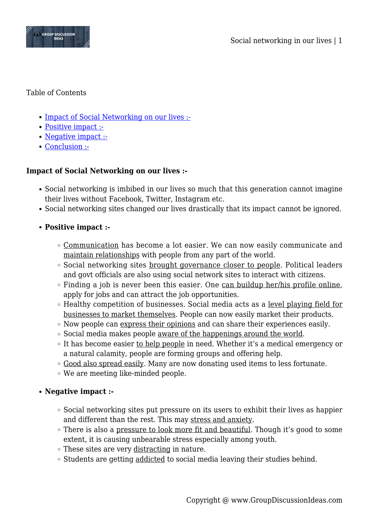

Table of Contents

- [Impact of Social Networking on our lives :-](#page--1-0)
- [Positive impact :-](#page--1-0)
- [Negative impact :-](#page--1-0)
- [Conclusion :-](#page--1-0)

## **Impact of Social Networking on our lives :-**

- Social networking is imbibed in our lives so much that this generation cannot imagine their lives without Facebook, Twitter, Instagram etc.
- Social networking sites changed our lives drastically that its impact cannot be ignored.
- **Positive impact :-**
	- Communication has become a lot easier. We can now easily communicate and maintain relationships with people from any part of the world.
	- Social networking sites brought governance closer to people. Political leaders and govt officials are also using social network sites to interact with citizens.
	- $\circ$  Finding a job is never been this easier. One can buildup her/his profile online, apply for jobs and can attract the job opportunities.
	- Healthy competition of businesses. Social media acts as a level playing field for businesses to market themselves. People can now easily market their products.
	- Now people can express their opinions and can share their experiences easily.
	- $\circ$  Social media makes people aware of the happenings around the world.
	- It has become easier to help people in need. Whether it's a medical emergency or a natural calamity, people are forming groups and offering help.
	- . Good also spread easily. Many are now donating used items to less fortunate.
	- We are meeting like-minded people.

## **Negative impact :-**

- Social networking sites put pressure on its users to exhibit their lives as happier and different than the rest. This may stress and anxiety.
- There is also a pressure to look more fit and beautiful. Though it's good to some extent, it is causing unbearable stress especially among youth.
- These sites are very distracting in nature.
- Students are getting addicted to social media leaving their studies behind.